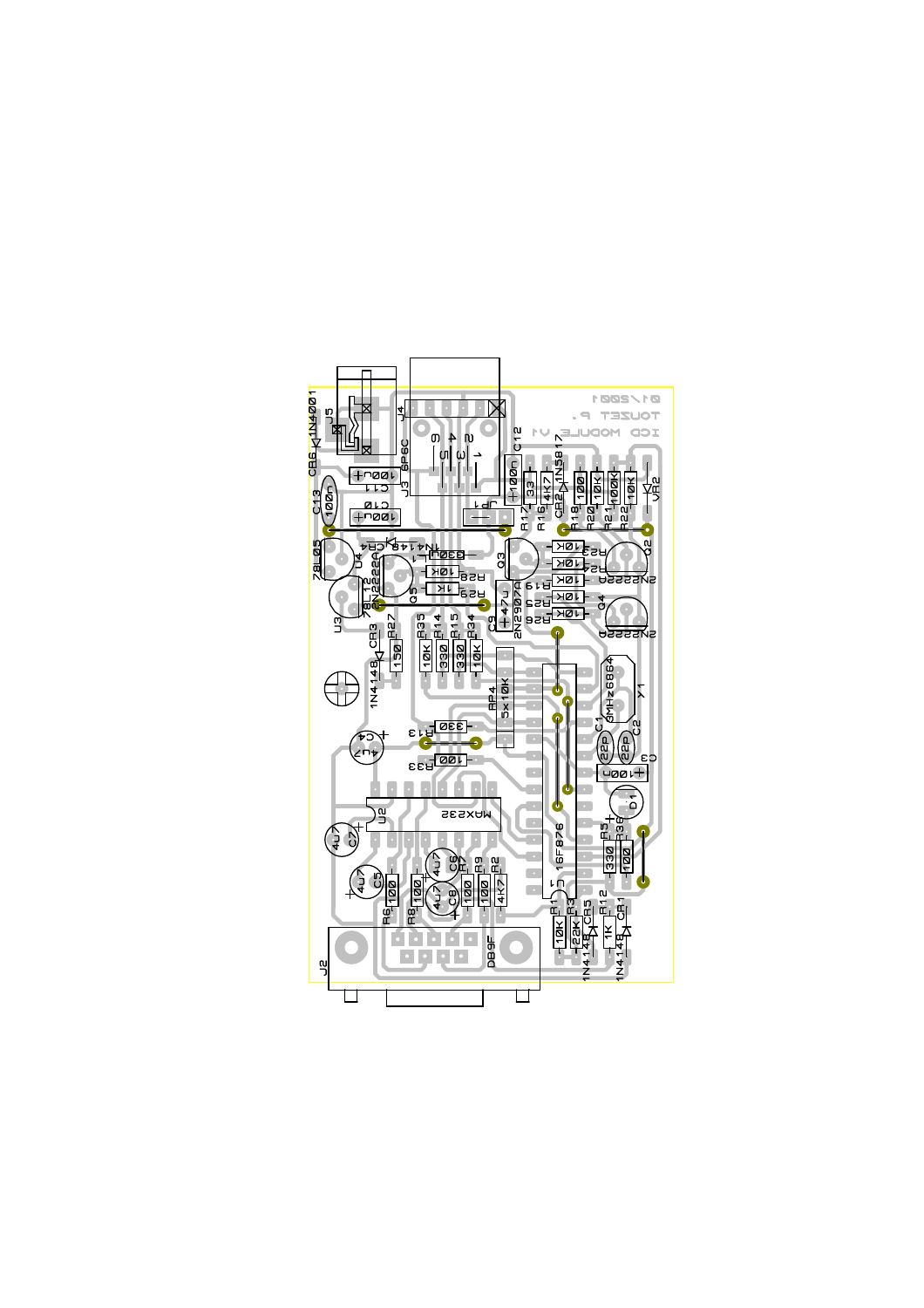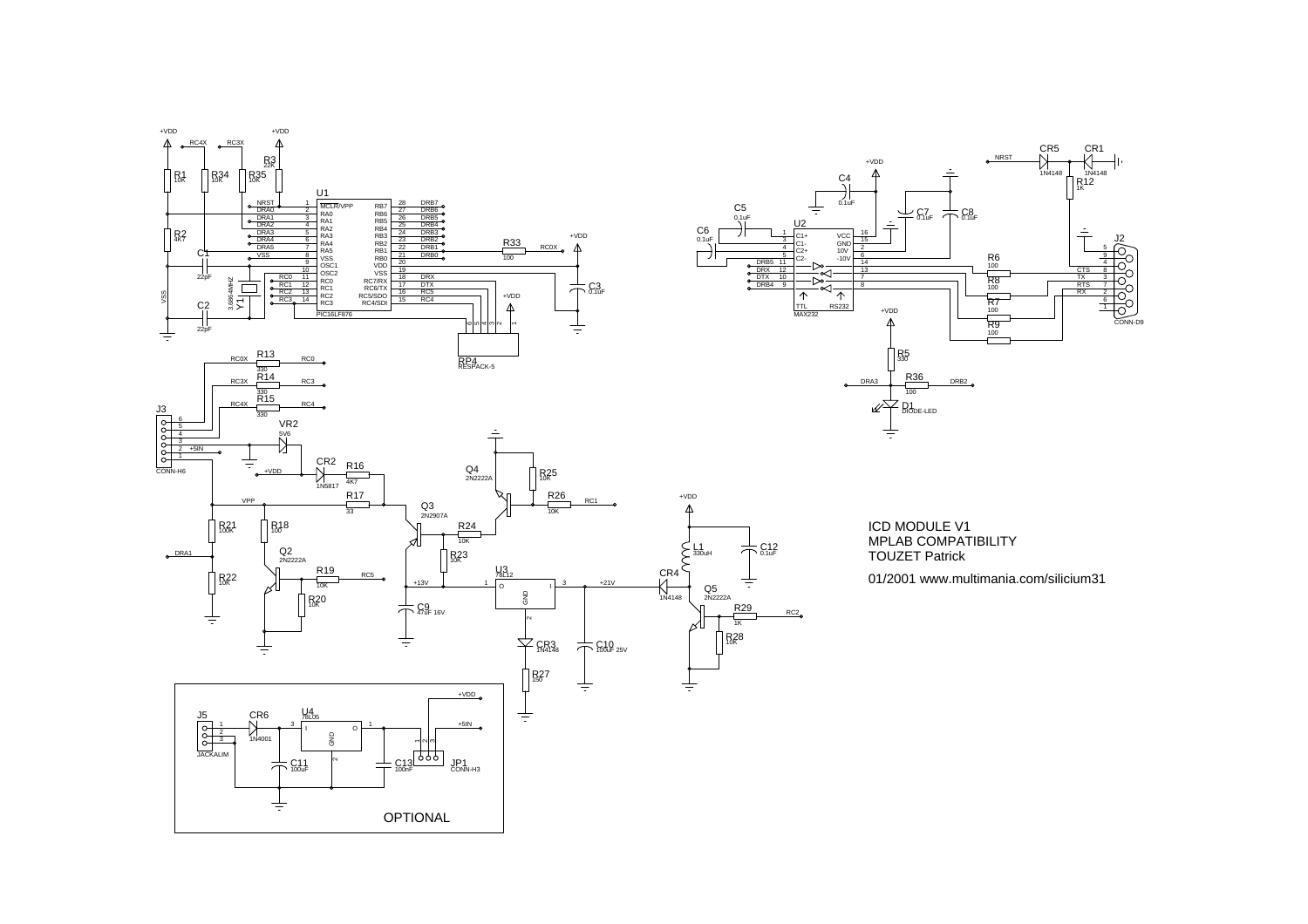



ICD MODULE V1 MPLAB COMPATIBILITY TOUZET Patrick

 $RC2$ 

01/2001 www.multimania.com/silicium31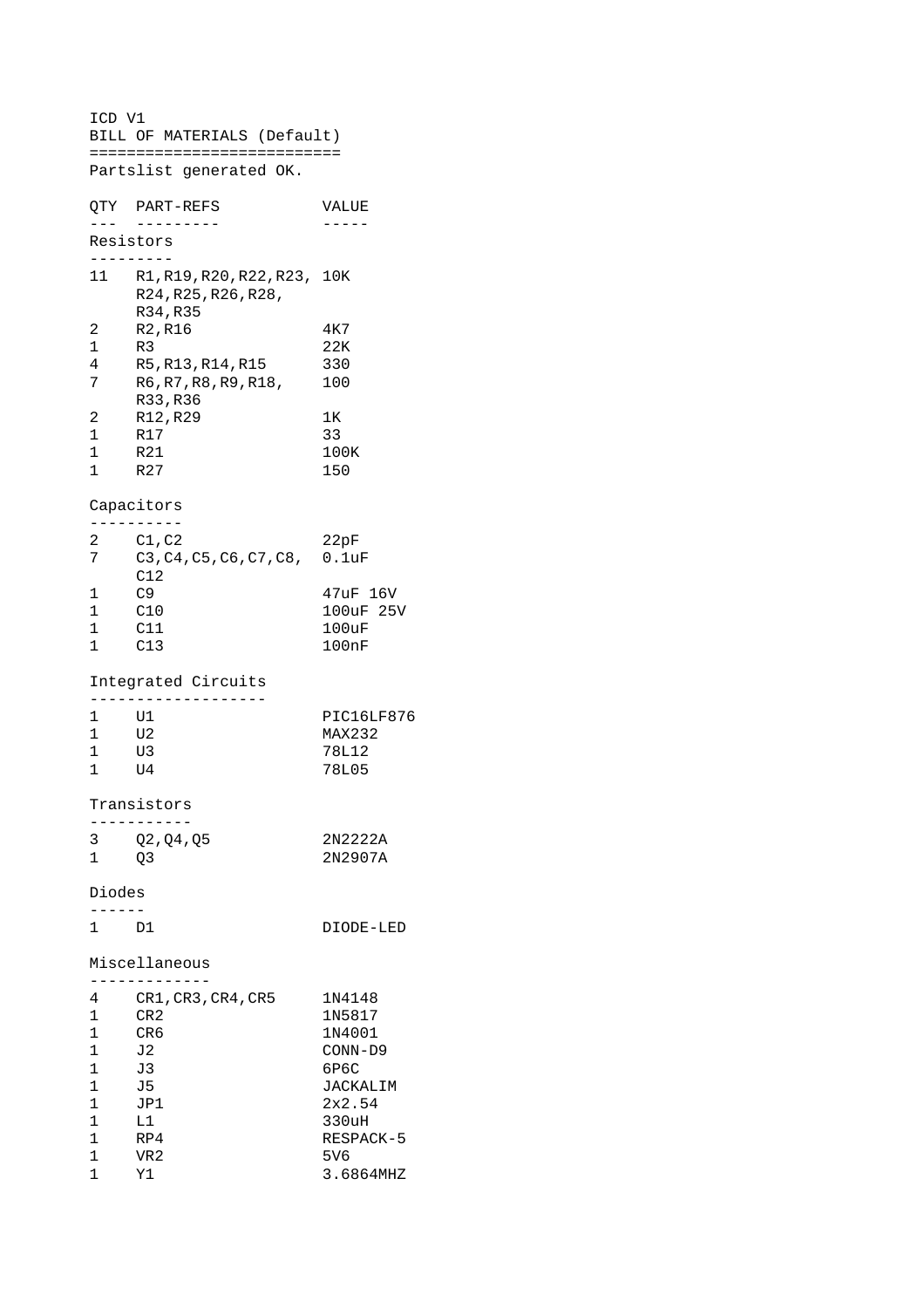ICD V1 BILL OF MATERIALS (Default) =========================== Partslist generated OK. QTY PART-REFS VALUE --- --------- ----- Resistors --------- 11 R1,R19,R20,R22,R23, 10K R24,R25,R26,R28, R34,R35 2 R2, R16 4K7<br>1 R3 22K 1 R3 22K<br>4 R5, R13, R14, R15 330 4 R5, R13, R14, R15 7 R6, R7, R8, R9, R18, 100 R33,R36 2 R12,R29 1K 1 R17 33 1 R21 100K 1 R27 150 Capacitors ---------- 2 C1,C2 22pF 7 C3,C4,C5,C6,C7,C8, 0.1uF C12 1 C9 47uF 16V<br>1 C10 100uF 25 100uF 25V  $\begin{array}{cc} 1 & \quad \text{C11} \\ 1 & \quad \text{C13} \end{array}$ C13 100nF Integrated Circuits ------------------- PIC16LF876 1 U1 PIC16LF<br>1 U2 MAX232 1 U3 78L12 1 U4 78L05 Transistors ----------- 3 Q2,Q4,Q5 2N2222A 1 Q3 2N2907A Diodes ------ 1 D1 DIODE-LED Miscellaneous ------------- 4 CR1,CR3,CR4,CR5 1N4148 1 CR2 1N5817 1 CR6 1N4001 1 J2 CONN-D9 1 J3 6P6C 1 J5 JACKALIM  $1$  JP1  $2 \times 2.54$ <br>1 L1 330uH 1 L1 330uH<br>1 RP4 RESPAC 1 RP4 RESPACK-5  $\begin{array}{ccc}\n1 & & \text{VR2} & & \text{5V6} \\
1 & & \text{Y1} & & \text{3.68}\n\end{array}$ 1 Y1 3.6864MHZ